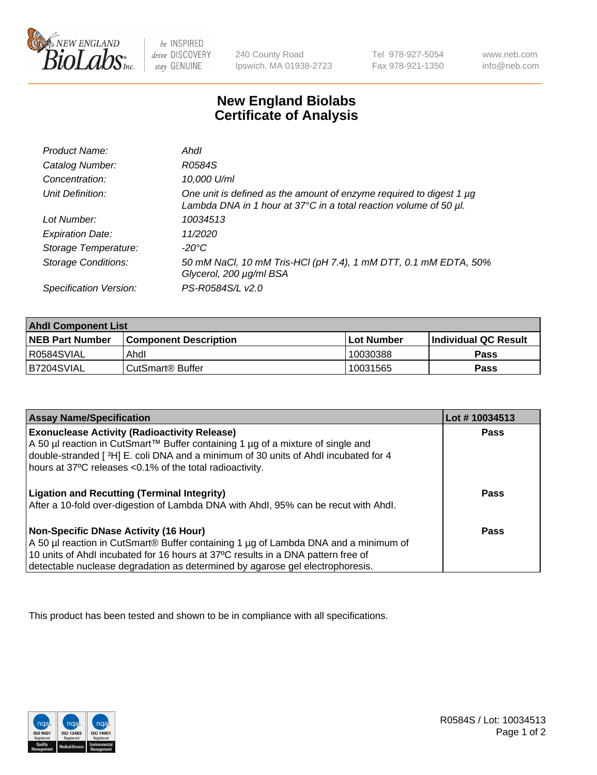

be INSPIRED drive DISCOVERY stay GENUINE

240 County Road Ipswich, MA 01938-2723 Tel 978-927-5054 Fax 978-921-1350

www.neb.com info@neb.com

## **New England Biolabs Certificate of Analysis**

| Product Name:              | Ahdl                                                                                                                                     |
|----------------------------|------------------------------------------------------------------------------------------------------------------------------------------|
| Catalog Number:            | R0584S                                                                                                                                   |
| Concentration:             | 10,000 U/ml                                                                                                                              |
| Unit Definition:           | One unit is defined as the amount of enzyme required to digest 1 µg<br>Lambda DNA in 1 hour at 37°C in a total reaction volume of 50 µl. |
| Lot Number:                | 10034513                                                                                                                                 |
| <b>Expiration Date:</b>    | 11/2020                                                                                                                                  |
| Storage Temperature:       | -20°C                                                                                                                                    |
| <b>Storage Conditions:</b> | 50 mM NaCl, 10 mM Tris-HCl (pH 7.4), 1 mM DTT, 0.1 mM EDTA, 50%<br>Glycerol, 200 µg/ml BSA                                               |
| Specification Version:     | PS-R0584S/L v2.0                                                                                                                         |

| <b>Ahdl Component List</b> |                              |            |                             |  |  |
|----------------------------|------------------------------|------------|-----------------------------|--|--|
| <b>NEB Part Number</b>     | <b>Component Description</b> | Lot Number | <b>Individual QC Result</b> |  |  |
| R0584SVIAL                 | Ahdl                         | 10030388   | Pass                        |  |  |
| B7204SVIAL                 | CutSmart <sup>®</sup> Buffer | 10031565   | Pass                        |  |  |

| <b>Assay Name/Specification</b>                                                     | Lot #10034513 |
|-------------------------------------------------------------------------------------|---------------|
| <b>Exonuclease Activity (Radioactivity Release)</b>                                 | <b>Pass</b>   |
| A 50 µl reaction in CutSmart™ Buffer containing 1 µg of a mixture of single and     |               |
| double-stranded [3H] E. coli DNA and a minimum of 30 units of Ahdl incubated for 4  |               |
| hours at 37°C releases <0.1% of the total radioactivity.                            |               |
| <b>Ligation and Recutting (Terminal Integrity)</b>                                  | <b>Pass</b>   |
| After a 10-fold over-digestion of Lambda DNA with Ahdl, 95% can be recut with Ahdl. |               |
| Non-Specific DNase Activity (16 Hour)                                               | Pass          |
| A 50 µl reaction in CutSmart® Buffer containing 1 µg of Lambda DNA and a minimum of |               |
| 10 units of Ahdl incubated for 16 hours at 37°C results in a DNA pattern free of    |               |
| detectable nuclease degradation as determined by agarose gel electrophoresis.       |               |

This product has been tested and shown to be in compliance with all specifications.